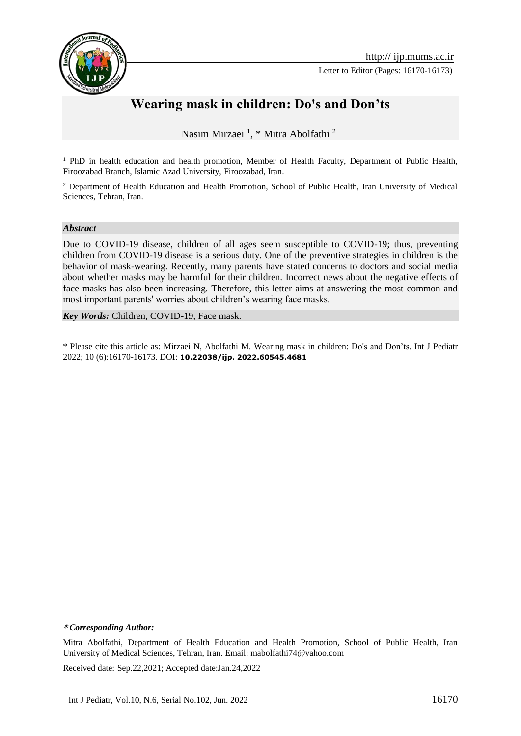

Letter to Editor (Pages: 16170-16173)



## **Wearing mask in children: Do's and Don'ts**

Nasim Mirzaei <sup>1</sup> , \* Mitra Abolfathi <sup>2</sup>**<sup>1</sup>**

<sup>1</sup> PhD in health education and health promotion, Member of Health Faculty, Department of Public Health, Firoozabad Branch, Islamic Azad University, Firoozabad, Iran.

<sup>2</sup> Department of Health Education and Health Promotion, School of Public Health, Iran University of Medical Sciences, Tehran, Iran.

## *Abstract*

Due to COVID-19 disease, children of all ages seem susceptible to COVID-19; thus, preventing children from COVID-19 disease is a serious duty. One of the preventive strategies in children is the behavior of mask-wearing. Recently, many parents have stated concerns to doctors and social media about whether masks may be harmful for their children. Incorrect news about the negative effects of face masks has also been increasing. Therefore, this letter aims at answering the most common and most important parents' worries about children's wearing face masks.

*Key Words:* Children, COVID-19, Face mask.

\* Please cite this article as: Mirzaei N, Abolfathi M. Wearing mask in children: Do's and Don'ts. Int J Pediatr 2022; 10 (6):16170-16173. DOI: **10.22038/ijp. 2022.60545.4681**

**\*** *Corresponding Author:*

1

Mitra Abolfathi, Department of Health Education and Health Promotion, School of Public Health, Iran University of Medical Sciences, Tehran, Iran. Email: mabolfathi74@yahoo.com

Received date: Sep.22,2021; Accepted date:Jan.24,2022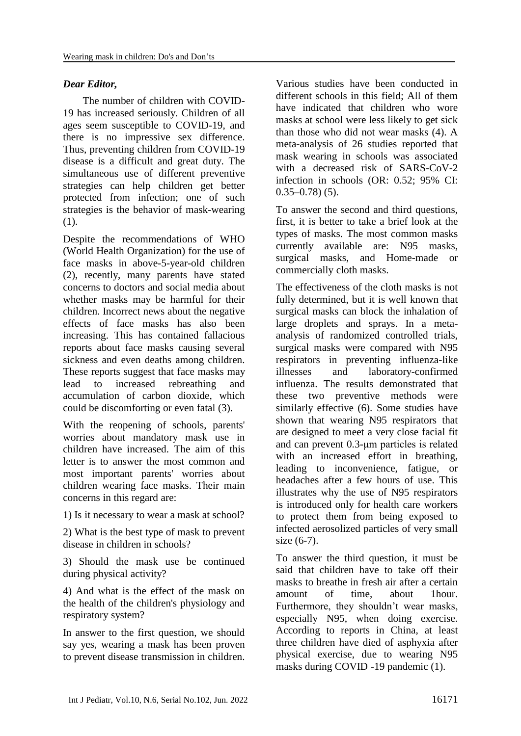## *Dear Editor,*

The number of children with COVID-19 has increased seriously. Children of all ages seem susceptible to COVID-19, and there is no impressive sex difference. Thus, preventing children from COVID-19 disease is a difficult and great duty. The simultaneous use of different preventive strategies can help children get better protected from infection; one of such strategies is the behavior of mask-wearing (1).

Despite the recommendations of WHO (World Health Organization) for the use of face masks in above-5-year-old children (2), recently, many parents have stated concerns to doctors and social media about whether masks may be harmful for their children. Incorrect news about the negative effects of face masks has also been increasing. This has contained fallacious reports about face masks causing several sickness and even deaths among children. These reports suggest that face masks may lead to increased rebreathing and accumulation of carbon dioxide, which could be discomforting or even fatal (3).

With the reopening of schools, parents' worries about mandatory mask use in children have increased. The aim of this letter is to answer the most common and most important parents' worries about children wearing face masks. Their main concerns in this regard are:

1) Is it necessary to wear a mask at school?

2) What is the best type of mask to prevent disease in children in schools?

3) Should the mask use be continued during physical activity?

4) And what is the effect of the mask on the health of the children's physiology and respiratory system?

In answer to the first question, we should say yes, wearing a mask has been proven to prevent disease transmission in children. Various studies have been conducted in different schools in this field; All of them have indicated that children who wore masks at school were less likely to get sick than those who did not wear masks (4). A meta-analysis of 26 studies reported that mask wearing in schools was associated with a decreased risk of SARS-CoV-2 infection in schools (OR: 0.52; 95% CI:  $0.35 - 0.78$ ) (5).

To answer the second and third questions, first, it is better to take a brief look at the types of masks. The most common masks currently available are: N95 masks, surgical masks, and Home-made or commercially cloth masks.

The effectiveness of the cloth masks is not fully determined, but it is well known that surgical masks can block the inhalation of large droplets and sprays. In a metaanalysis of randomized controlled trials, surgical masks were compared with N95 respirators in preventing influenza-like illnesses and laboratory-confirmed influenza. The results demonstrated that these two preventive methods were similarly effective (6). Some studies have shown that wearing N95 respirators that are designed to meet a very close facial fit and can prevent 0.3-μm particles is related with an increased effort in breathing, leading to inconvenience, fatigue, or headaches after a few hours of use. This illustrates why the use of N95 respirators is introduced only for health care workers to protect them from being exposed to infected aerosolized particles of very small size (6-7).

To answer the third question, it must be said that children have to take off their masks to breathe in fresh air after a certain amount of time, about 1hour. Furthermore, they shouldn't wear masks, especially N95, when doing exercise. According to reports in China, at least three children have died of asphyxia after physical exercise, due to wearing N95 masks during COVID -19 pandemic (1).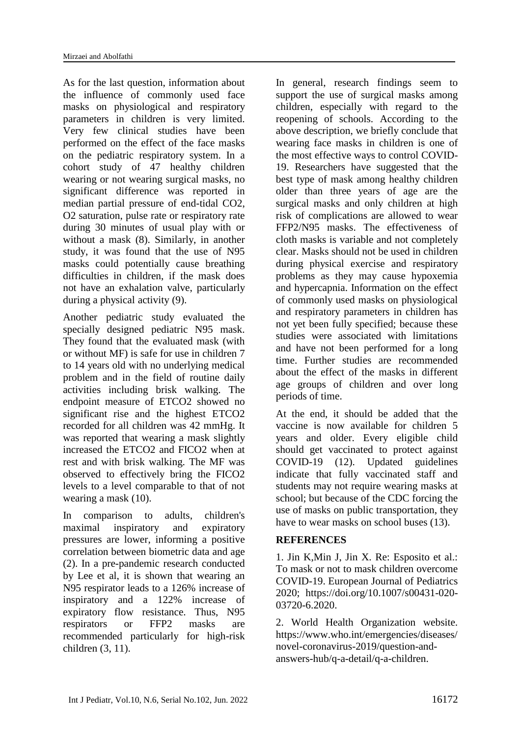As for the last question, information about the influence of commonly used face masks on physiological and respiratory parameters in children is very limited. Very few clinical studies have been performed on the effect of the face masks on the pediatric respiratory system. In a cohort study of 47 healthy children wearing or not wearing surgical masks, no significant difference was reported in median partial pressure of end-tidal CO2, O2 saturation, pulse rate or respiratory rate during 30 minutes of usual play with or without a mask (8). Similarly, in another study, it was found that the use of N95 masks could potentially cause breathing difficulties in children, if the mask does not have an exhalation valve, particularly during a physical activity (9).

Another pediatric study evaluated the specially designed pediatric N95 mask. They found that the evaluated mask (with or without MF) is safe for use in children 7 to 14 years old with no underlying medical problem and in the field of routine daily activities including brisk walking. The endpoint measure of ETCO2 showed no significant rise and the highest ETCO2 recorded for all children was 42 mmHg. It was reported that wearing a mask slightly increased the ETCO2 and FICO2 when at rest and with brisk walking. The MF was observed to effectively bring the FICO2 levels to a level comparable to that of not wearing a mask (10).

In comparison to adults, children's maximal inspiratory and expiratory pressures are lower, informing a positive correlation between biometric data and age (2). In a pre-pandemic research conducted by Lee et al, it is shown that wearing an N95 respirator leads to a 126% increase of inspiratory and a 122% increase of expiratory flow resistance. Thus, N95 respirators or FFP2 masks are recommended particularly for high-risk children (3, 11).

In general, research findings seem to support the use of surgical masks among children, especially with regard to the reopening of schools. According to the above description, we briefly conclude that wearing face masks in children is one of the most effective ways to control COVID-19. Researchers have suggested that the best type of mask among healthy children older than three years of age are the surgical masks and only children at high risk of complications are allowed to wear FFP2/N95 masks. The effectiveness of cloth masks is variable and not completely clear. Masks should not be used in children during physical exercise and respiratory problems as they may cause hypoxemia and hypercapnia. Information on the effect of commonly used masks on physiological and respiratory parameters in children has not yet been fully specified; because these studies were associated with limitations and have not been performed for a long time. Further studies are recommended about the effect of the masks in different age groups of children and over long periods of time.

At the end, it should be added that the vaccine is now available for children 5 years and older. Every eligible child should get vaccinated to protect against COVID-19 (12). Updated guidelines indicate that fully vaccinated staff and students may not require wearing masks at school; but because of the CDC forcing the use of masks on public transportation, they have to wear masks on school buses (13).

## **REFERENCES**

1. Jin K,Min J, Jin X. Re: Esposito et al.: To mask or not to mask children overcome COVID-19. European Journal of Pediatrics 2020; [https://doi.org/10.1007/s00431-020-](https://doi.org/10.1007/s00431-020-03720-6.2020) [03720-6.2020.](https://doi.org/10.1007/s00431-020-03720-6.2020)

2. World Health Organization website. [https://www.who.int/emergencies/diseases/](https://www.who.int/emergencies/diseases/novel-coronavirus-2019/question-and-answers-hub/q-a-detail/q-a-children) [novel-coronavirus-2019/question-and](https://www.who.int/emergencies/diseases/novel-coronavirus-2019/question-and-answers-hub/q-a-detail/q-a-children)[answers-hub/q-a-detail/q-a-children.](https://www.who.int/emergencies/diseases/novel-coronavirus-2019/question-and-answers-hub/q-a-detail/q-a-children)